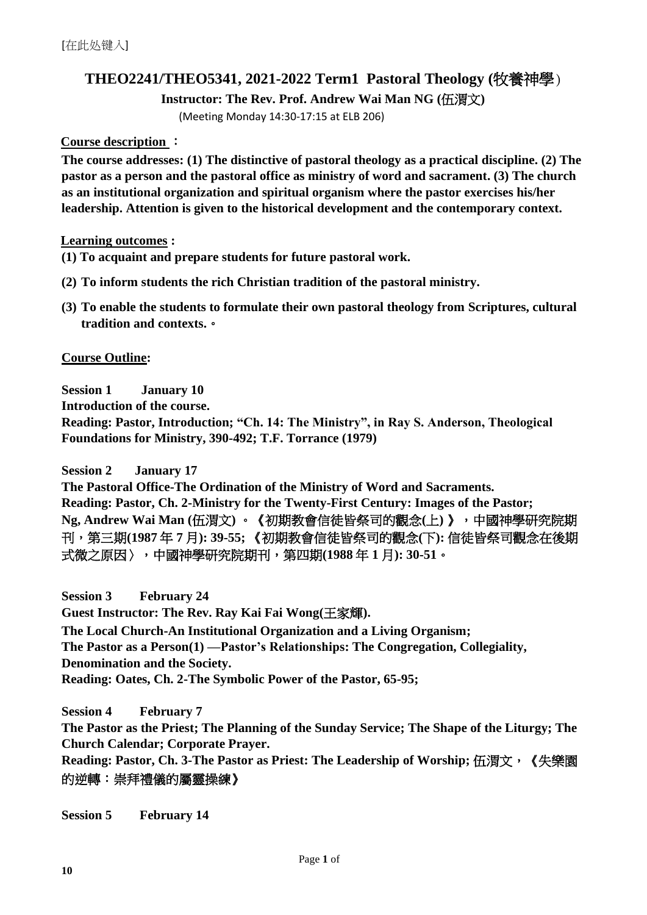# **THEO2241/THEO5341, 2021-2022 Term1 Pastoral Theology (**牧養神學)

**Instructor: The Rev. Prof. Andrew Wai Man NG (**伍渭文**)**

(Meeting Monday 14:30-17:15 at ELB 206)

#### **Course description** :

**The course addresses: (1) The distinctive of pastoral theology as a practical discipline. (2) The pastor as a person and the pastoral office as ministry of word and sacrament. (3) The church as an institutional organization and spiritual organism where the pastor exercises his/her leadership. Attention is given to the historical development and the contemporary context.**

**Learning outcomes :**

- **(1) To acquaint and prepare students for future pastoral work.**
- **(2) To inform students the rich Christian tradition of the pastoral ministry.**
- **(3) To enable the students to formulate their own pastoral theology from Scriptures, cultural tradition and contexts.**。

**Course Outline:** 

**Session 1 January 10**

**Introduction of the course.**

**Reading: Pastor, Introduction; "Ch. 14: The Ministry", in Ray S. Anderson, Theological Foundations for Ministry, 390-492; T.F. Torrance (1979)**

**Session 2 January 17 The Pastoral Office-The Ordination of the Ministry of Word and Sacraments. Reading: Pastor, Ch. 2-Ministry for the Twenty-First Century: Images of the Pastor; Ng, Andrew Wai Man (**伍渭文**)** 。《初期教會信徒皆祭司的觀念**(**上**)** 》,中國神學研究院期 刊,第三期**(1987** 年 **7** 月**): 39-55;** 《初期教會信徒皆祭司的觀念**(**下**):** 信徒皆祭司觀念在後期 式微之原因〉,中國神學研究院期刊,第四期**(1988** 年 **1** 月**): 30-51**。

**Session 3 February 24 Guest Instructor: The Rev. Ray Kai Fai Wong(**王家輝**). The Local Church-An Institutional Organization and a Living Organism; The Pastor as a Person(1) —Pastor's Relationships: The Congregation, Collegiality, Denomination and the Society. Reading: Oates, Ch. 2-The Symbolic Power of the Pastor, 65-95;**

**Session 4 February 7 The Pastor as the Priest; The Planning of the Sunday Service; The Shape of the Liturgy; The Church Calendar; Corporate Prayer.** Reading: Pastor, Ch. 3-The Pastor as Priest: The Leadership of Worship; 伍渭文, 《失樂園

的逆轉:崇拜禮儀的屬靈操練》

**Session 5 February 14**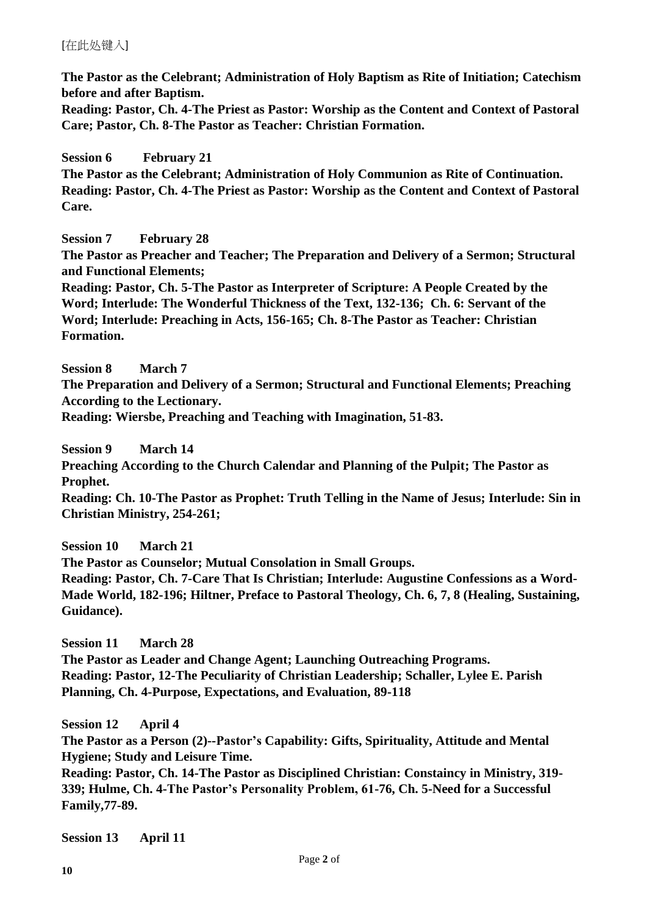## [在此处键入]

**The Pastor as the Celebrant; Administration of Holy Baptism as Rite of Initiation; Catechism before and after Baptism.**

**Reading: Pastor, Ch. 4-The Priest as Pastor: Worship as the Content and Context of Pastoral Care; Pastor, Ch. 8-The Pastor as Teacher: Christian Formation.**

## **Session 6 February 21**

**The Pastor as the Celebrant; Administration of Holy Communion as Rite of Continuation. Reading: Pastor, Ch. 4-The Priest as Pastor: Worship as the Content and Context of Pastoral Care.**

## **Session 7 February 28**

**The Pastor as Preacher and Teacher; The Preparation and Delivery of a Sermon; Structural and Functional Elements;** 

**Reading: Pastor, Ch. 5-The Pastor as Interpreter of Scripture: A People Created by the Word; Interlude: The Wonderful Thickness of the Text, 132-136; Ch. 6: Servant of the Word; Interlude: Preaching in Acts, 156-165; Ch. 8-The Pastor as Teacher: Christian Formation.**

**Session 8 March 7**

**The Preparation and Delivery of a Sermon; Structural and Functional Elements; Preaching According to the Lectionary.** 

**Reading: Wiersbe, Preaching and Teaching with Imagination, 51-83.**

**Session 9 March 14 Preaching According to the Church Calendar and Planning of the Pulpit; The Pastor as Prophet. Reading: Ch. 10-The Pastor as Prophet: Truth Telling in the Name of Jesus; Interlude: Sin in Christian Ministry, 254-261;**

**Session 10 March 21**

**The Pastor as Counselor; Mutual Consolation in Small Groups.**

**Reading: Pastor, Ch. 7-Care That Is Christian; Interlude: Augustine Confessions as a Word-Made World, 182-196; Hiltner, Preface to Pastoral Theology, Ch. 6, 7, 8 (Healing, Sustaining, Guidance).**

**Session 11 March 28 The Pastor as Leader and Change Agent; Launching Outreaching Programs. Reading: Pastor, 12-The Peculiarity of Christian Leadership; Schaller, Lylee E. Parish Planning, Ch. 4-Purpose, Expectations, and Evaluation, 89-118**

**Session 12 April 4**

**The Pastor as a Person (2)--Pastor's Capability: Gifts, Spirituality, Attitude and Mental Hygiene; Study and Leisure Time.**

**Reading: Pastor, Ch. 14-The Pastor as Disciplined Christian: Constaincy in Ministry, 319- 339; Hulme, Ch. 4-The Pastor's Personality Problem, 61-76, Ch. 5-Need for a Successful Family,77-89.** 

**Session 13 April 11**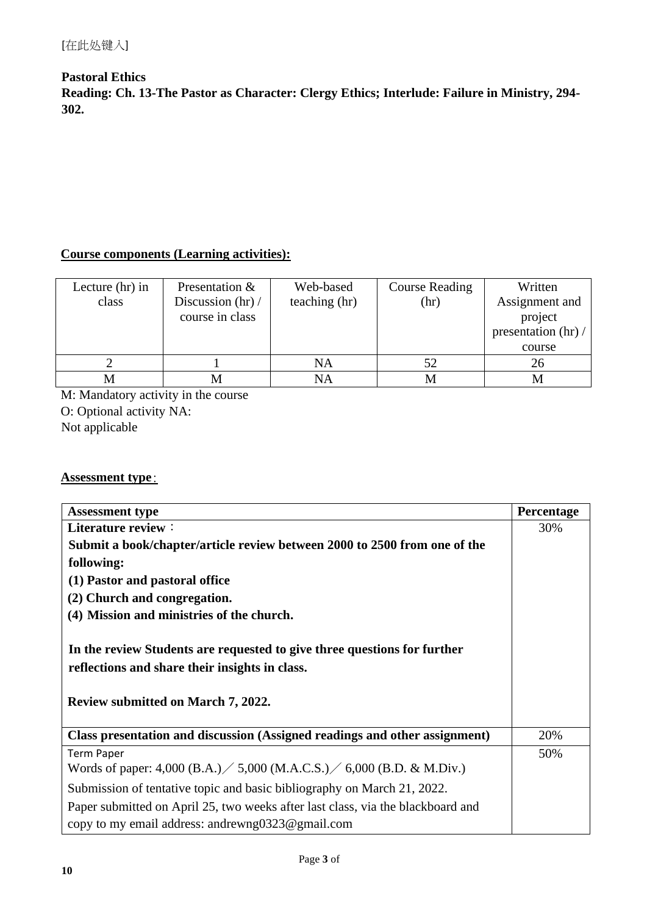## **Pastoral Ethics Reading: Ch. 13-The Pastor as Character: Clergy Ethics; Interlude: Failure in Ministry, 294- 302.**

# **Course components (Learning activities):**

| Lecture (hr) in<br>class | Presentation &<br>Discussion $\frac{hr}{r}$<br>course in class | Web-based<br>teaching (hr) | <b>Course Reading</b><br>(hr) | Written<br>Assignment and<br>project<br>presentation (hr) /<br>course |
|--------------------------|----------------------------------------------------------------|----------------------------|-------------------------------|-----------------------------------------------------------------------|
|                          |                                                                | NA                         | 52                            | 26                                                                    |
|                          |                                                                | NA                         | M                             |                                                                       |

M: Mandatory activity in the course O: Optional activity NA: Not applicable

## **Assessment type**:

| <b>Assessment type</b>                                                                                                                                                  | <b>Percentage</b> |  |
|-------------------------------------------------------------------------------------------------------------------------------------------------------------------------|-------------------|--|
| Literature review:                                                                                                                                                      |                   |  |
| Submit a book/chapter/article review between 2000 to 2500 from one of the                                                                                               |                   |  |
| following:                                                                                                                                                              |                   |  |
| (1) Pastor and pastoral office                                                                                                                                          |                   |  |
| (2) Church and congregation.                                                                                                                                            |                   |  |
| (4) Mission and ministries of the church.                                                                                                                               |                   |  |
| In the review Students are requested to give three questions for further<br>reflections and share their insights in class.<br><b>Review submitted on March 7, 2022.</b> |                   |  |
| Class presentation and discussion (Assigned readings and other assignment)                                                                                              | 20%               |  |
| <b>Term Paper</b>                                                                                                                                                       | 50%               |  |
| Words of paper: 4,000 (B.A.) $/$ 5,000 (M.A.C.S.) $/$ 6,000 (B.D. & M.Div.)                                                                                             |                   |  |
| Submission of tentative topic and basic bibliography on March 21, 2022.                                                                                                 |                   |  |
| Paper submitted on April 25, two weeks after last class, via the blackboard and<br>copy to my email address: andrewng0323@gmail.com                                     |                   |  |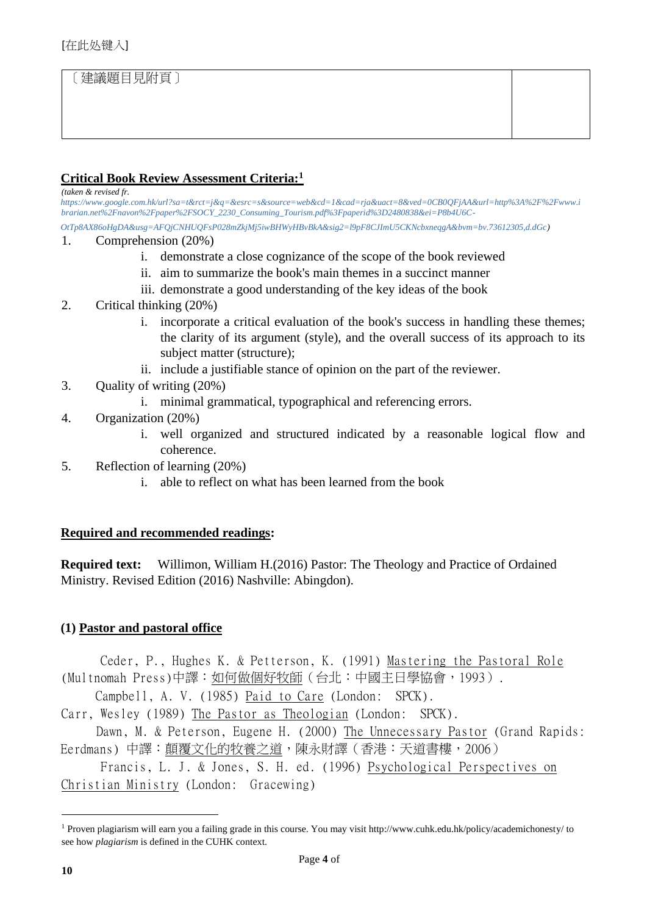# [建議題目見附頁]

#### **Critical Book Review Assessment Criteria:<sup>1</sup>**

*(taken & revised fr.* 

*[https://www.google.com.hk/url?sa=t&rct=j&q=&esrc=s&source=web&cd=1&cad=rja&uact=8&ved=0CB0QFjAA&url=http%3A%2F%2Fwww.i](https://www.google.com.hk/url?sa=t&rct=j&q=&esrc=s&source=web&cd=1&cad=rja&uact=8&ved=0CB0QFjAA&url=http%3A%2F%2Fwww.ibrarian.net%2Fnavon%2Fpaper%2FSOCY_2230_Consuming_Tourism.pdf%3Fpaperid%3D2480838&ei=P8b4U6C-OtTp8AX86oHgDA&usg=AFQjCNHUQFsP028mZkjMj5iwBHWyHBvBkA&sig2=l9pF8CJImU5CKNcbxneqgA&bvm=bv.73612305,d.dGc)  [brarian.net%2Fnavon%2Fpaper%2FSOCY\\_2230\\_Consuming\\_Tourism.pdf%3Fpaperid%3D2480838&ei=P8b4U6C-](https://www.google.com.hk/url?sa=t&rct=j&q=&esrc=s&source=web&cd=1&cad=rja&uact=8&ved=0CB0QFjAA&url=http%3A%2F%2Fwww.ibrarian.net%2Fnavon%2Fpaper%2FSOCY_2230_Consuming_Tourism.pdf%3Fpaperid%3D2480838&ei=P8b4U6C-OtTp8AX86oHgDA&usg=AFQjCNHUQFsP028mZkjMj5iwBHWyHBvBkA&sig2=l9pF8CJImU5CKNcbxneqgA&bvm=bv.73612305,d.dGc)*

*[OtTp8AX86oHgDA&usg=AFQjCNHUQFsP028mZkjMj5iwBHWyHBvBkA&sig2=l9pF8CJImU5CKNcbxneqgA&bvm=bv.73612305,d.dGc\)](https://www.google.com.hk/url?sa=t&rct=j&q=&esrc=s&source=web&cd=1&cad=rja&uact=8&ved=0CB0QFjAA&url=http%3A%2F%2Fwww.ibrarian.net%2Fnavon%2Fpaper%2FSOCY_2230_Consuming_Tourism.pdf%3Fpaperid%3D2480838&ei=P8b4U6C-OtTp8AX86oHgDA&usg=AFQjCNHUQFsP028mZkjMj5iwBHWyHBvBkA&sig2=l9pF8CJImU5CKNcbxneqgA&bvm=bv.73612305,d.dGc)*

- 1. Comprehension (20%)
	- i. demonstrate a close cognizance of the scope of the book reviewed
	- ii. aim to summarize the book's main themes in a succinct manner
	- iii. demonstrate a good understanding of the key ideas of the book

#### 2. Critical thinking (20%)

- i. incorporate a critical evaluation of the book's success in handling these themes; the clarity of its argument (style), and the overall success of its approach to its subject matter (structure);
- ii. include a justifiable stance of opinion on the part of the reviewer.
- 3. Quality of writing (20%)
	- i. minimal grammatical, typographical and referencing errors.
- 4. Organization (20%)
	- i. well organized and structured indicated by a reasonable logical flow and coherence.
- 5. Reflection of learning (20%)
	- i. able to reflect on what has been learned from the book

### **Required and recommended readings:**

**Required text:** Willimon, William H.(2016) Pastor: The Theology and Practice of Ordained Ministry. Revised Edition (2016) Nashville: Abingdon).

### **(1) Pastor and pastoral office**

Ceder, P., Hughes K. & Petterson, K. (1991) Mastering the Pastoral Role (Multnomah Press)中譯:如何做個好牧師(台北:中國主日學協會,1993).

Campbell, A. V. (1985) Paid to Care (London: SPCK).

Carr, Wesley (1989) The Pastor as Theologian (London: SPCK).

Dawn, M. & Peterson, Eugene H. (2000) The Unnecessary Pastor (Grand Rapids: Eerdmans) 中譯:顛覆文化的牧養之道,陳永財譯(香港:天道書樓,2006)

 Francis, L. J. & Jones, S. H. ed. (1996) Psychological Perspectives on Christian Ministry (London: Gracewing)

<sup>1</sup> Proven plagiarism will earn you a failing grade in this course. You may visit http://www.cuhk.edu.hk/policy/academichonesty/ to see how *plagiarism* is defined in the CUHK context.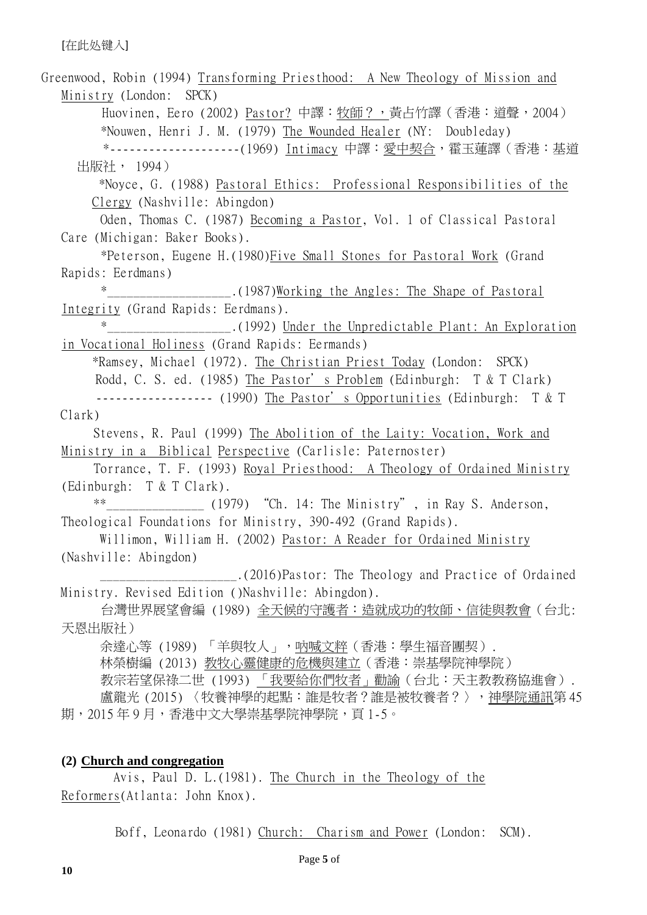Greenwood, Robin (1994) Transforming Priesthood: A New Theology of Mission and Ministry (London: SPCK) Huovinen, Eero (2002) Pastor? 中譯: 牧師?,黃占竹譯(香港:道聲, 2004) \*Nouwen, Henri J. M. (1979) The Wounded Healer (NY: Doubleday) \*--------------------(1969) Intimacy 中譯:愛中契合,霍玉蓮譯(香港:基道 出版社, 1994) \*Noyce, G. (1988) Pastoral Ethics: Professional Responsibilities of the Clergy (Nashville: Abingdon) Oden, Thomas C. (1987) Becoming a Pastor, Vol. 1 of Classical Pastoral Care (Michigan: Baker Books). \*Peterson, Eugene H.(1980)Five Small Stones for Pastoral Work (Grand Rapids: Eerdmans) (1987)Working the Angles: The Shape of Pastoral Integrity (Grand Rapids: Eerdmans). .(1992) Under the Unpredictable Plant: An Exploration in Vocational Holiness (Grand Rapids: Eermands) \*Ramsey, Michael (1972). The Christian Priest Today (London: SPCK) Rodd, C. S. ed. (1985) The Pastor's Problem (Edinburgh: T & T Clark) ------------------ (1990) The Pastor's Opportunities (Edinburgh: T & T Clark) Stevens, R. Paul (1999) The Abolition of the Laity: Vocation, Work and Ministry in a Biblical Perspective (Carlisle: Paternoster) Torrance, T. F. (1993) Royal Priesthood: A Theology of Ordained Ministry (Edinburgh: T & T Clark). \*\* (1979) "Ch. 14: The Ministry", in Ray S. Anderson, Theological Foundations for Ministry, 390-492 (Grand Rapids). Willimon, William H. (2002) Pastor: A Reader for Ordained Ministry (Nashville: Abingdon) \_\_\_\_\_\_\_\_\_\_\_\_\_\_\_\_\_\_\_\_\_.(2016)Pastor: The Theology and Practice of Ordained Ministry. Revised Edition ()Nashville: Abingdon). 台灣世界展望會編 (1989) 全天候的守護者:造就成功的牧師、信徒與教會(台北: 天恩出版社) 余達心等 (1989) 「羊與牧人」,吶喊文粹(香港:學生福音團契). 林榮樹編 (2013) 教牧心靈健康的危機與建立(香港:崇基學院神學院) 教宗若望保祿二世 (1993) 「我要給你們牧者」勸諭(台北:天主教教務協進會). 盧龍光 (2015) 〈牧養神學的起點:誰是牧者?誰是被牧養者?〉,神學院通訊第 45 期,2015年9月,香港中文大學崇基學院神學院,頁1-5。

## **(2) Church and congregation**

Avis, Paul D. L.(1981). The Church in the Theology of the Reformers(Atlanta: John Knox).

Boff, Leonardo (1981) Church: Charism and Power (London: SCM).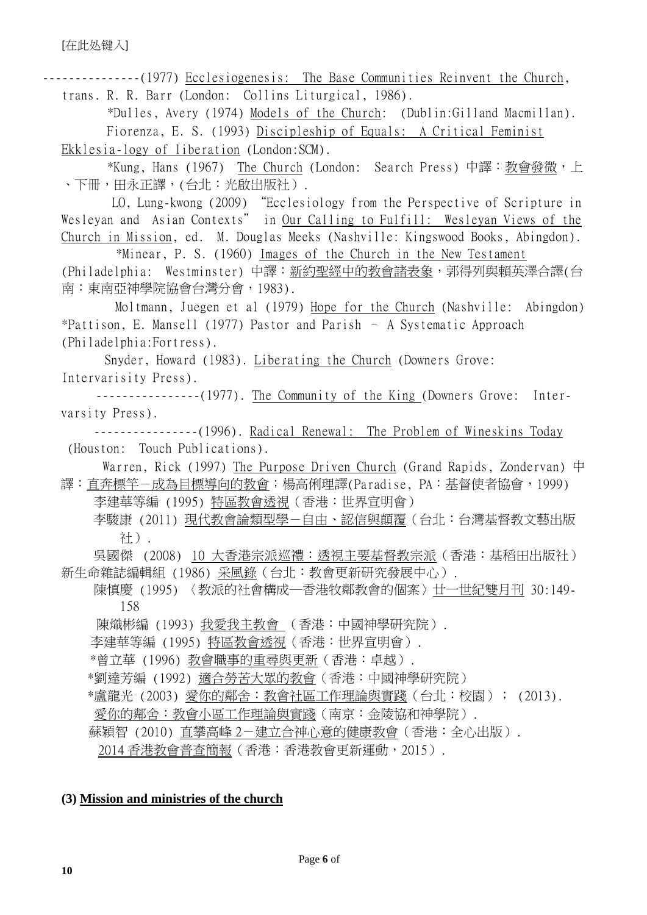---------------(1977) Ecclesiogenesis: The Base Communities Reinvent the Church, trans. R. R. Barr (London: Collins Liturgical, 1986). \*Dulles, Avery (1974) Models of the Church: (Dublin:Gilland Macmillan).

Fiorenza, E. S. (1993) Discipleship of Equals: A Critical Feminist

Ekklesia-logy of liberation (London:SCM).

\*Kung, Hans (1967) The Church (London: Search Press) 中譯:教會發微,上 、下冊,田永正譯,(台北:光啟出版社).

 LO, Lung-kwong (2009) "Ecclesiology from the Perspective of Scripture in Wesleyan and Asian Contexts" in Our Calling to Fulfill: Wesleyan Views of the Church in Mission, ed. M. Douglas Meeks (Nashville: Kingswood Books, Abingdon).

\*Minear, P. S. (1960) Images of the Church in the New Testament (Philadelphia: Westminster) 中譯:新約聖經中的教會諸表象,郭得列與賴英澤合譯(台 南:東南亞神學院協會台灣分會,1983).

 Moltmann, Juegen et al (1979) Hope for the Church (Nashville: Abingdon) \*Pattison, E. Mansell (1977) Pastor and Parish – A Systematic Approach (Philadelphia:Fortress).

Snyder, Howard (1983). Liberating the Church (Downers Grove: Intervarisity Press).

----------------(1977). The Community of the King (Downers Grove: Intervarsity Press).

---------------(1996). Radical Renewal: The Problem of Wineskins Today (Houston: Touch Publications).

Warren, Rick (1997) The Purpose Driven Church (Grand Rapids, Zondervan) 中 譯:直奔標竿-成為目標導向的教會;楊高俐理譯(Paradise, PA:基督使者協會,1999)

李建華等編 (1995) 特區教會透視(香港:世界宣明會) 李駿康 (2011) 現代教會論類型學-自由、認信與顛覆(台北:台灣基督教文藝出版 社).

 吳國傑 (2008) 10 大香港宗派巡禮:透視主要基督教宗派(香港:基稻田出版社) 新生命雜誌編輯組 (1986) 采風錄(台北:教會更新研究發展中心).

陳慎慶 (1995) 〈教派的社會構成─香港牧鄰教會的個案〉廿一世紀雙月刊 30:149- 158

陳熾彬編 (1993) 我愛我主教會 (香港:中國神學研究院).

李建華等編 (1995) 特區教會透視(香港:世界宣明會).

\*曾立華 (1996) 教會職事的重尋與更新(香港:卓越).

\*劉達芳編 (1992) 適合勞苦大眾的教會(香港:中國神學研究院)

\*盧龍光 (2003) 愛你的鄰舍:教會社區工作理論與實踐(台北:校園); (2013).

愛你的鄰舍:教會小區工作理論與實踐(南京:金陵協和神學院).

蘇穎智 (2010) 直攀高峰 2-建立合神心意的健康教會 (香港:全心出版).

2014 香港教會普查簡報(香港:香港教會更新運動, 2015).

### **(3) Mission and ministries of the church**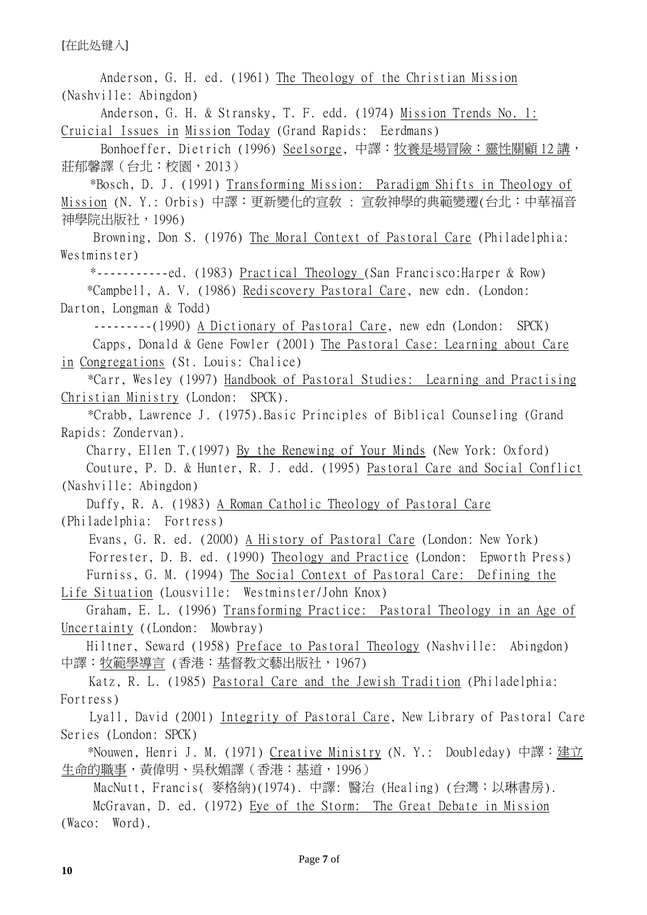[在此处键入]

Anderson, G. H. ed. (1961) The Theology of the Christian Mission (Nashville: Abingdon) Anderson, G. H. & Stransky, T. F. edd. (1974) Mission Trends No. 1: Cruicial Issues in Mission Today (Grand Rapids: Eerdmans) Bonhoeffer, Dietrich (1996) Seelsorge, 中譯:牧養是場冒險:靈性關顧 12 講, 莊郁馨譯(台北:校園,2013) \*Bosch, D. J. (1991) Transforming Mission: Paradigm Shifts in Theology of Mission (N. Y.: Orbis) 中譯:更新變化的宣敎 : 宣敎神學的典範變遷(台北:中華福音 神學院出版社,1996) Browning, Don S. (1976) The Moral Context of Pastoral Care (Philadelphia: Westminster) \*-----------ed. (1983) Practical Theology (San Francisco:Harper & Row) \*Campbell, A. V. (1986) Rediscovery Pastoral Care, new edn. (London: Darton, Longman & Todd) ---------(1990) A Dictionary of Pastoral Care, new edn (London: SPCK) Capps, Donald & Gene Fowler (2001) The Pastoral Case: Learning about Care in Congregations (St. Louis: Chalice) \*Carr, Wesley (1997) Handbook of Pastoral Studies: Learning and Practising Christian Ministry (London: SPCK). \*Crabb, Lawrence J. (1975).Basic Principles of Biblical Counseling (Grand Rapids: Zondervan). Charry, Ellen T.(1997) By the Renewing of Your Minds (New York: Oxford) Couture, P. D. & Hunter, R. J. edd. (1995) Pastoral Care and Social Conflict (Nashville: Abingdon) Duffy, R. A. (1983) A Roman Catholic Theology of Pastoral Care (Philadelphia: Fortress) Evans, G. R. ed. (2000) A History of Pastoral Care (London: New York) Forrester, D. B. ed. (1990) Theology and Practice (London: Epworth Press) Furniss, G. M. (1994) The Social Context of Pastoral Care: Defining the Life Situation (Lousville: Westminster/John Knox) Graham, E. L. (1996) Transforming Practice: Pastoral Theology in an Age of Uncertainty ((London: Mowbray) Hiltner, Seward (1958) Preface to Pastoral Theology (Nashville: Abingdon) 中譯:牧範學導言 (香港:基督教文藝出版社,1967) Katz, R. L. (1985) Pastoral Care and the Jewish Tradition (Philadelphia: Fortress) Lyall, David (2001) Integrity of Pastoral Care, New Library of Pastoral Care Series (London: SPCK) \*Nouwen, Henri J. M. (1971) Creative Ministry (N. Y.: Doubleday) 中譯:建立 生命的職事,黃偉明、吳秋媚譯(香港:基道,1996) MacNutt, Francis( 麥格納)(1974). 中譯: 醫治 (Healing) (台灣:以琳書房). McGravan, D. ed. (1972) Eye of the Storm: The Great Debate in Mission (Waco: Word).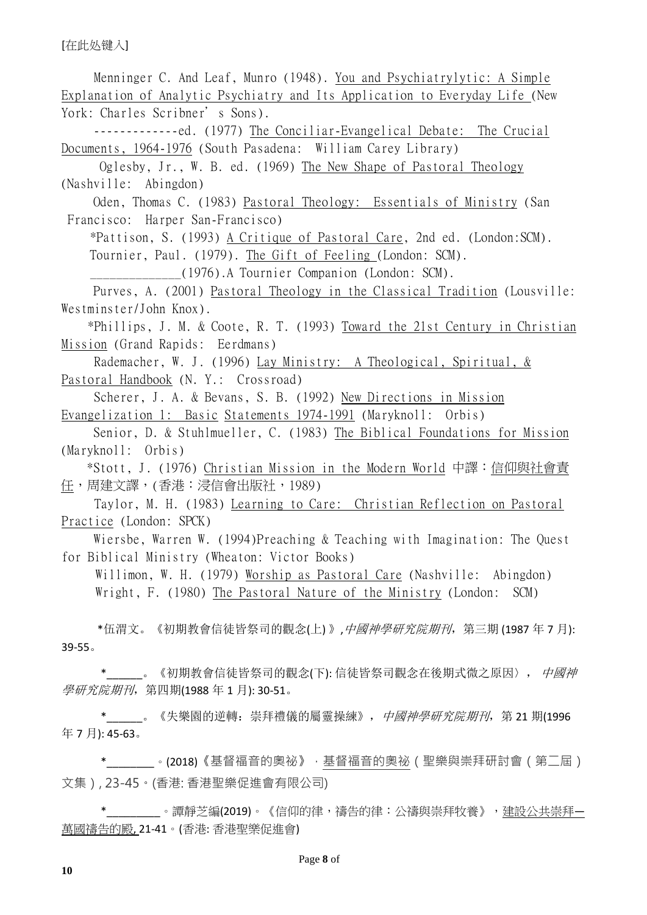[在此处键入]

 Menninger C. And Leaf, Munro (1948). You and Psychiatrylytic: A Simple Explanation of Analytic Psychiatry and Its Application to Everyday Life (New York: Charles Scribner's Sons). -------------ed. (1977) The Conciliar-Evangelical Debate: The Crucial Documents, 1964-1976 (South Pasadena: William Carey Library) Oglesby, Jr., W. B. ed. (1969) The New Shape of Pastoral Theology (Nashville: Abingdon) Oden, Thomas C. (1983) Pastoral Theology: Essentials of Ministry (San Francisco: Harper San-Francisco) \*Pattison, S. (1993) A Critique of Pastoral Care, 2nd ed. (London:SCM). Tournier, Paul. (1979). The Gift of Feeling (London: SCM). \_\_\_\_\_\_\_\_\_\_\_\_\_\_(1976).A Tournier Companion (London: SCM). Purves, A. (2001) Pastoral Theology in the Classical Tradition (Lousville: Westminster/John Knox). \*Phillips, J. M. & Coote, R. T. (1993) Toward the 21st Century in Christian Mission (Grand Rapids: Eerdmans) Rademacher, W. J. (1996) Lay Ministry: A Theological, Spiritual, & Pastoral Handbook (N. Y.: Crossroad) Scherer, J. A. & Bevans, S. B. (1992) New Directions in Mission Evangelization 1: Basic Statements 1974-1991 (Maryknoll: Orbis) Senior, D. & Stuhlmueller, C. (1983) The Biblical Foundations for Mission (Maryknoll: Orbis) \*Stott, J. (1976) Christian Mission in the Modern World 中譯:信仰與社會責 任,周建文譯,(香港:浸信會出版社,1989) Taylor, M. H. (1983) Learning to Care: Christian Reflection on Pastoral Practice (London: SPCK) Wiersbe, Warren W. (1994)Preaching & Teaching with Imagination: The Quest for Biblical Ministry (Wheaton: Victor Books) Willimon, W. H. (1979) Worship as Pastoral Care (Nashville: Abingdon) Wright, F. (1980) The Pastoral Nature of the Ministry (London: SCM) \*伍渭文。《初期教會信徒皆祭司的觀念(上)》,中國神學研究院期刊,第三期 (1987年7月): 39-55。 \*\_\_\_\_\_\_。《初期教會信徒皆祭司的觀念(下): 信徒皆祭司觀念在後期式微之原因〉, 中國神 學研究院期刊, 第四期(1988年1月): 30-51。 \*\_\_\_\_\_\_。《失樂園的逆轉:崇拜禮儀的屬靈操練》,*中國神學研究院期刊*,第 21 期(1996) 年 7 月): 45-63。 \*\_\_\_\_\_\_\_\_。(2018)《基督福音的奧祕》,基督福音的奧祕 ( 聖樂與崇拜研討會 ( 第二屆 )

文集), 23-45。(香港: 香港聖樂促進會有限公司)

\*\_\_\_\_\_\_\_\_\_。譚靜芝編(2019)。《信仰的律,禱告的律:公禱與崇拜牧養》,<u>建設公共崇拜-</u> 萬國禱告的殿, 21-41。(香港: 香港聖樂促進會)

**10**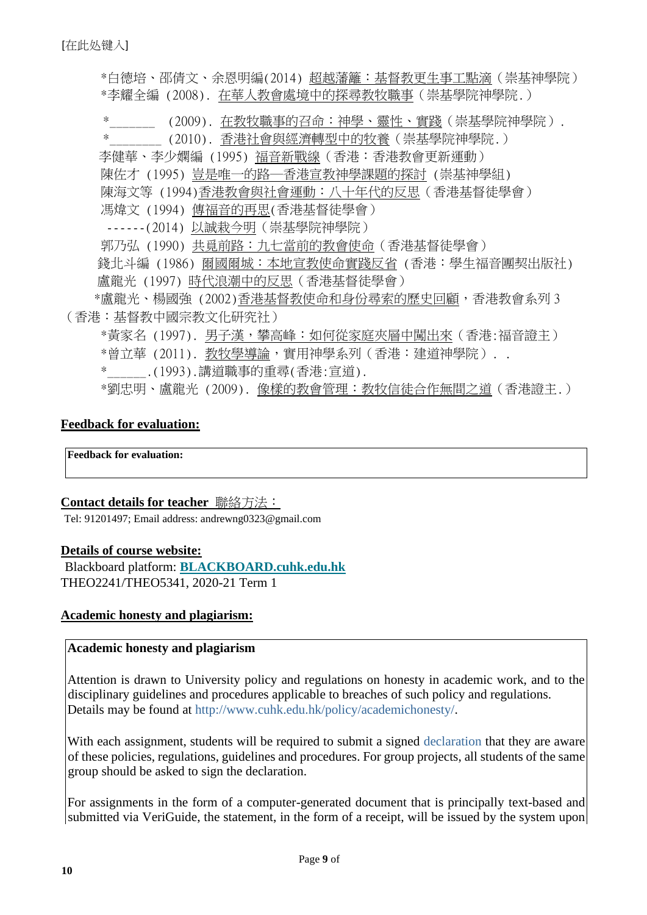\*白德培、邵倩文、余恩明編(2014) 超越藩籬:基督教更生事工點滴(崇基神學院) \*李耀全編 (2008). 在華人教會處境中的探尋教牧職事(崇基學院神學院.) (2009). 在教牧職事的召命:神學、靈性、實踐(崇基學院神學院). \*\_\_\_\_\_\_\_\_ (2010). 香港社會與經濟轉型中的牧養(崇基學院神學院.) 李健華、李少嫻編 (1995) 福音新戰線(香港:香港教會更新運動) 陳佐才 (1995) 豈是唯一的路─香港宣教神學課題的探討 (崇基神學組) 陳海文等 (1994)香港教會與社會運動:八十年代的反思(香港基督徒學會) 馮煒文 (1994) 傳福音的再思(香港基督徒學會) ------(2014) 以誠栽今明(崇基學院神學院) 郭乃弘 (1990) 共覓前路:九七當前的教會使命(香港基督徒學會) 錢北斗編 (1986) 爾國爾城:本地宣教使命實踐反省 (香港:學生福音團契出版社) 盧龍光 (1997) 時代浪潮中的反思(香港基督徒學會) \*盧龍光、楊國強 (2002)香港基督教使命和身份尋索的歷史回顧,香港教會系列 3 (香港:基督教中國宗教文化研究社) \*黃家名 (1997). 男子漢,攀高峰:如何從家庭夾層中闖出來 (香港:福音證主) \*曾立華 (2011). 教牧學導論,實用神學系列 (香港:建道神學院).. \*\_\_\_\_\_\_.(1993).講道職事的重尋(香港:宣道). \*劉忠明、盧龍光 (2009). 像樣的教會管理:教牧信徒合作無間之道(香港證主.)

### **Feedback for evaluation:**

**Feedback for evaluation:** 

#### **Contact details for teacher** 聯絡方法:

Tel: 91201497; Email address: andrewng0323@gmail.com

#### **Details of course website:**

Blackboard platform: **[BLACKBOARD.cuhk.edu.hk](https://blackboard.cuhk.edu.hk/)** THEO2241/THEO5341, 2020-21 Term 1

#### **Academic honesty and plagiarism:**

#### **Academic honesty and plagiarism**

Attention is drawn to University policy and regulations on honesty in academic work, and to the disciplinary guidelines and procedures applicable to breaches of such policy and regulations. Details may be found at [http://www.cuhk.edu.hk/policy/academichonesty/.](http://www.cuhk.edu.hk/policy/academichonesty/) 

With each assignment, students will be required to submit a signed [declaration](http://www.cuhk.edu.hk/policy/academichonesty/Eng_htm_files_(2013-14)/declaration_en.doc) that they are aware of these policies, regulations, guidelines and procedures. For group projects, all students of the same group should be asked to sign the declaration.

For assignments in the form of a computer-generated document that is principally text-based and submitted via VeriGuide, the statement, in the form of a receipt, will be issued by the system upon